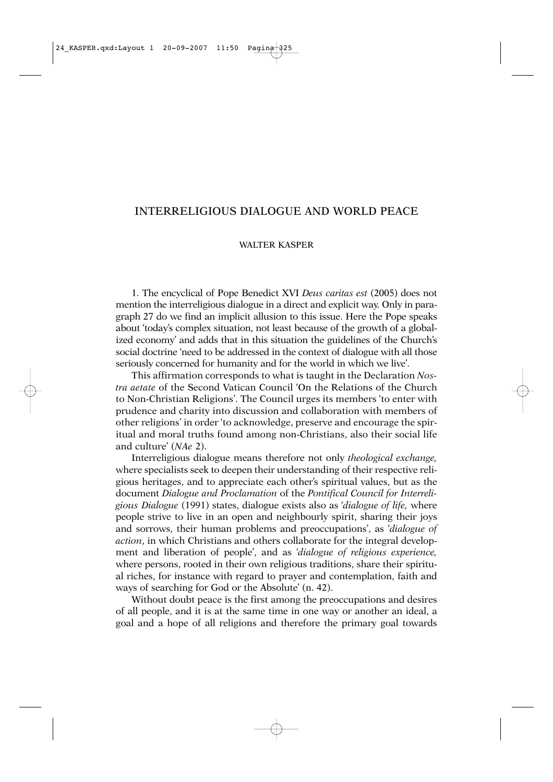## INTERRELIGIOUS DIALOGUE AND WORLD PEACE

## WALTER KASPER

1. The encyclical of Pope Benedict XVI *Deus caritas est* (2005) does not mention the interreligious dialogue in a direct and explicit way. Only in paragraph 27 do we find an implicit allusion to this issue. Here the Pope speaks about 'today's complex situation, not least because of the growth of a globalized economy' and adds that in this situation the guidelines of the Church's social doctrine 'need to be addressed in the context of dialogue with all those seriously concerned for humanity and for the world in which we live'.

This affirmation corresponds to what is taught in the Declaration *Nostra aetate* of the Second Vatican Council 'On the Relations of the Church to Non-Christian Religions'. The Council urges its members 'to enter with prudence and charity into discussion and collaboration with members of other religions' in order 'to acknowledge, preserve and encourage the spiritual and moral truths found among non-Christians, also their social life and culture' (*NAe* 2).

Interreligious dialogue means therefore not only *theological exchange,* where specialists seek to deepen their understanding of their respective religious heritages, and to appreciate each other's spiritual values, but as the document *Dialogue and Proclamation* of the *Pontifical Council for Interreligious Dialogue* (1991) states, dialogue exists also as '*dialogue of life,* where people strive to live in an open and neighbourly spirit, sharing their joys and sorrows, their human problems and preoccupations', as '*dialogue of action*, in which Christians and others collaborate for the integral development and liberation of people', and as '*dialogue of religious experience,* where persons, rooted in their own religious traditions, share their spiritual riches, for instance with regard to prayer and contemplation, faith and ways of searching for God or the Absolute' (n. 42).

Without doubt peace is the first among the preoccupations and desires of all people, and it is at the same time in one way or another an ideal, a goal and a hope of all religions and therefore the primary goal towards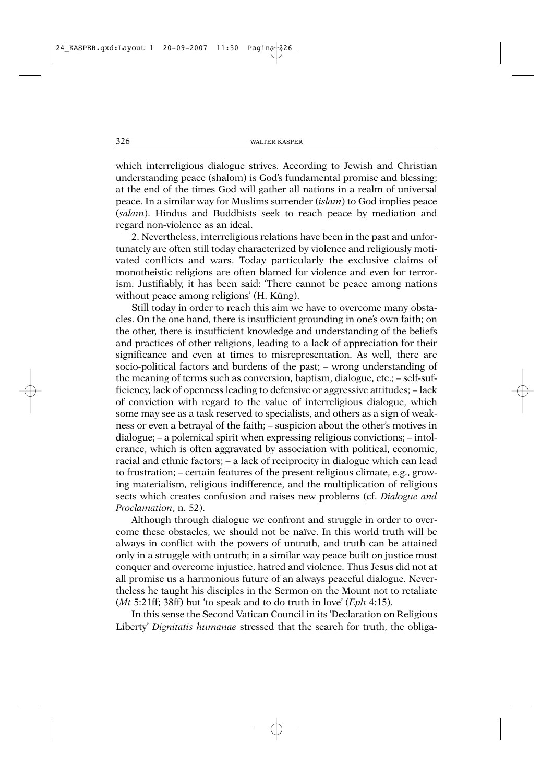which interreligious dialogue strives. According to Jewish and Christian understanding peace (shalom) is God's fundamental promise and blessing; at the end of the times God will gather all nations in a realm of universal peace. In a similar way for Muslims surrender (*islam*) to God implies peace (*salam*). Hindus and Buddhists seek to reach peace by mediation and regard non-violence as an ideal.

2. Nevertheless, interreligious relations have been in the past and unfortunately are often still today characterized by violence and religiously motivated conflicts and wars. Today particularly the exclusive claims of monotheistic religions are often blamed for violence and even for terrorism. Justifiably, it has been said: 'There cannot be peace among nations without peace among religions' (H. Küng).

Still today in order to reach this aim we have to overcome many obstacles. On the one hand, there is insufficient grounding in one's own faith; on the other, there is insufficient knowledge and understanding of the beliefs and practices of other religions, leading to a lack of appreciation for their significance and even at times to misrepresentation. As well, there are socio-political factors and burdens of the past; – wrong understanding of the meaning of terms such as conversion, baptism, dialogue, etc.; – self-sufficiency, lack of openness leading to defensive or aggressive attitudes; – lack of conviction with regard to the value of interreligious dialogue, which some may see as a task reserved to specialists, and others as a sign of weakness or even a betrayal of the faith; – suspicion about the other's motives in dialogue; – a polemical spirit when expressing religious convictions; – intolerance, which is often aggravated by association with political, economic, racial and ethnic factors; – a lack of reciprocity in dialogue which can lead to frustration; – certain features of the present religious climate, e.g., growing materialism, religious indifference, and the multiplication of religious sects which creates confusion and raises new problems (cf. *Dialogue and Proclamation*, n. 52).

Although through dialogue we confront and struggle in order to overcome these obstacles, we should not be naïve. In this world truth will be always in conflict with the powers of untruth, and truth can be attained only in a struggle with untruth; in a similar way peace built on justice must conquer and overcome injustice, hatred and violence. Thus Jesus did not at all promise us a harmonious future of an always peaceful dialogue. Nevertheless he taught his disciples in the Sermon on the Mount not to retaliate (*Mt* 5:21ff; 38ff) but 'to speak and to do truth in love' (*Eph* 4:15).

In this sense the Second Vatican Council in its 'Declaration on Religious Liberty' *Dignitatis humanae* stressed that the search for truth, the obliga-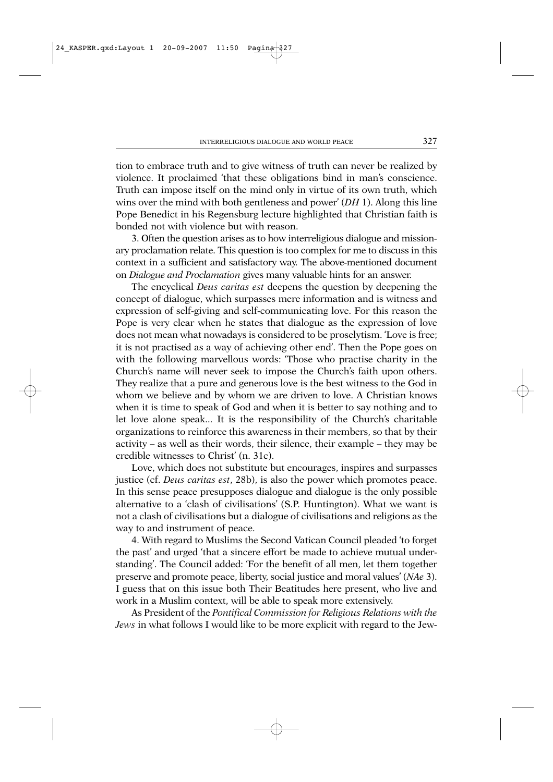tion to embrace truth and to give witness of truth can never be realized by violence. It proclaimed 'that these obligations bind in man's conscience. Truth can impose itself on the mind only in virtue of its own truth, which wins over the mind with both gentleness and power' (*DH* 1). Along this line Pope Benedict in his Regensburg lecture highlighted that Christian faith is bonded not with violence but with reason.

3. Often the question arises as to how interreligious dialogue and missionary proclamation relate. This question is too complex for me to discuss in this context in a sufficient and satisfactory way. The above-mentioned document on *Dialogue and Proclamation* gives many valuable hints for an answer.

The encyclical *Deus caritas est* deepens the question by deepening the concept of dialogue, which surpasses mere information and is witness and expression of self-giving and self-communicating love. For this reason the Pope is very clear when he states that dialogue as the expression of love does not mean what nowadays is considered to be proselytism. 'Love is free; it is not practised as a way of achieving other end'. Then the Pope goes on with the following marvellous words: 'Those who practise charity in the Church's name will never seek to impose the Church's faith upon others. They realize that a pure and generous love is the best witness to the God in whom we believe and by whom we are driven to love. A Christian knows when it is time to speak of God and when it is better to say nothing and to let love alone speak... It is the responsibility of the Church's charitable organizations to reinforce this awareness in their members, so that by their activity – as well as their words, their silence, their example – they may be credible witnesses to Christ' (n. 31c).

Love, which does not substitute but encourages, inspires and surpasses justice (cf. *Deus caritas est*, 28b), is also the power which promotes peace. In this sense peace presupposes dialogue and dialogue is the only possible alternative to a 'clash of civilisations' (S.P. Huntington). What we want is not a clash of civilisations but a dialogue of civilisations and religions as the way to and instrument of peace.

4. With regard to Muslims the Second Vatican Council pleaded 'to forget the past' and urged 'that a sincere effort be made to achieve mutual understanding'. The Council added: 'For the benefit of all men, let them together preserve and promote peace, liberty, social justice and moral values' (*NAe* 3). I guess that on this issue both Their Beatitudes here present, who live and work in a Muslim context, will be able to speak more extensively.

As President of the *Pontifical Commission for Religious Relations with the Jews* in what follows I would like to be more explicit with regard to the Jew-